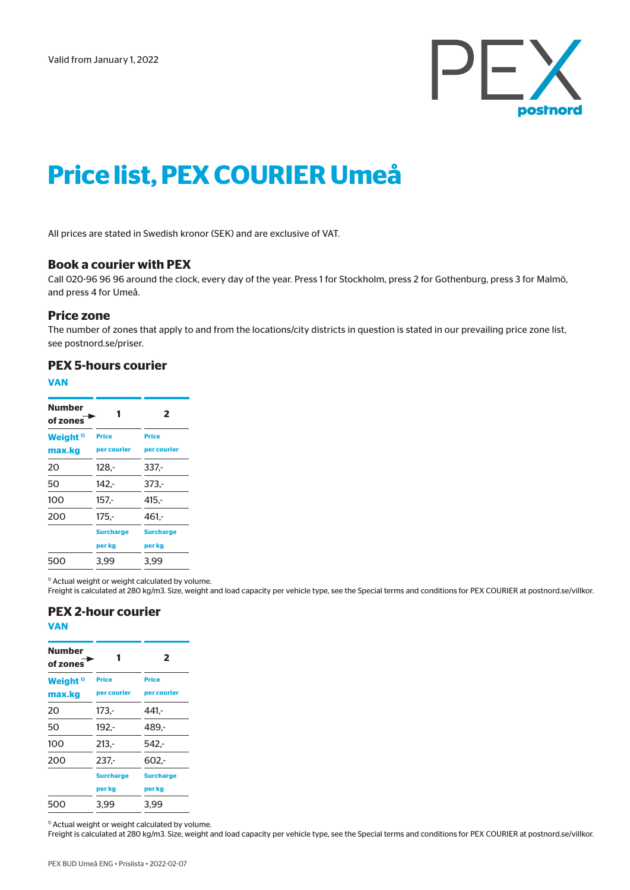

# **Price list, PEX COURIER Umeå**

All prices are stated in Swedish kronor (SEK) and are exclusive of VAT.

#### **Book a courier with PEX**

Call 020-96 96 96 around the clock, every day of the year. Press 1 for Stockholm, press 2 for Gothenburg, press 3 for Malmö, and press 4 for Umeå.

#### **Price zone**

**VAN**

The number of zones that apply to and from the locations/city districts in question is stated in our prevailing price zone list, see postnord.se/priser.

### **PEX 5-hours courier**

| Number<br>of zones            |                             | 2                           |
|-------------------------------|-----------------------------|-----------------------------|
| Weight <sup>1</sup><br>max.kg | <b>Price</b><br>per courier | <b>Price</b><br>per courier |
| 20                            | $128 -$                     | 337.-                       |
| 50                            | $142 -$                     | 373.-                       |
| 100                           | $157 -$                     | $415. -$                    |
| 200                           | $175. -$                    | 461.-                       |
|                               | <b>Surcharge</b>            | <b>Surcharge</b>            |
|                               | per kg                      | per kg                      |
| 500                           | 3.99                        | 3.99                        |

<sup>1)</sup> Actual weight or weight calculated by volume.

Freight is calculated at 280 kg/m3. Size, weight and load capacity per vehicle type, see the Special terms and conditions for PEX COURIER at postnord.se/villkor.

#### **PEX 2-hour courier VAN**

| Number<br>of zones  |                  | 2                |
|---------------------|------------------|------------------|
| Weight <sup>1</sup> | <b>Price</b>     | <b>Price</b>     |
| max.kg              | per courier      | per courier      |
| 20                  | $173 -$          | $441 -$          |
| 50                  | $192 -$          | 489.-            |
| 100                 | $213. -$         | 542.-            |
| 200                 | $237 -$          | $602 -$          |
|                     | <b>Surcharge</b> | <b>Surcharge</b> |
|                     | per kg           | per kg           |
| 500                 | 3.99             | 3.99             |

<sup>1)</sup> Actual weight or weight calculated by volume.

Freight is calculated at 280 kg/m3. Size, weight and load capacity per vehicle type, see the Special terms and conditions for PEX COURIER at postnord.se/villkor.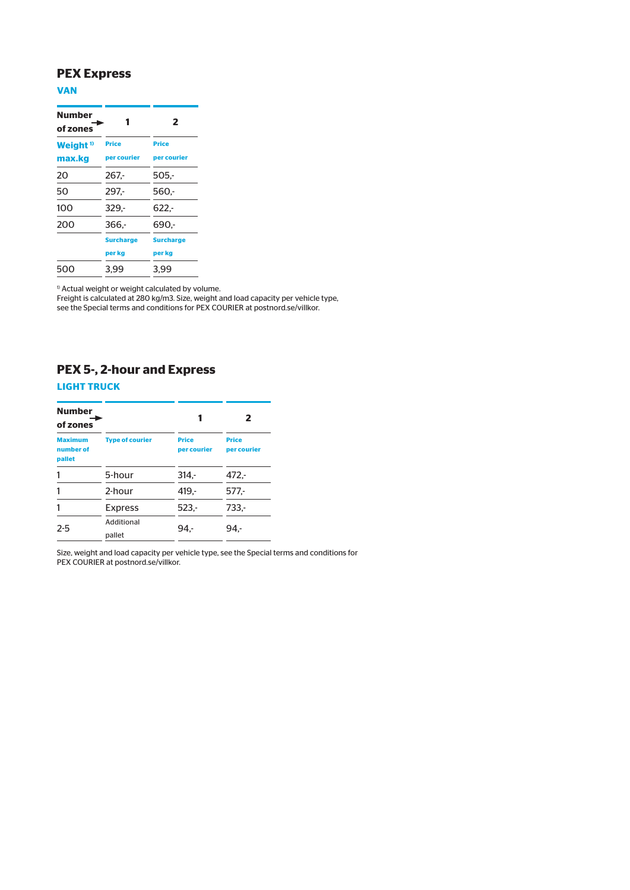## **PEX Express**

### **VAN**

| <b>Number</b><br>of zones |                  | 2                |
|---------------------------|------------------|------------------|
| Weight <sup>1</sup>       | <b>Price</b>     | <b>Price</b>     |
| max.kg                    | per courier      | per courier      |
| 20                        | $267 -$          | $505 -$          |
| 50                        | $297 -$          | 560.-            |
| 100                       | $329. -$         | $622. -$         |
| 200                       | 366.-            | 690.-            |
|                           | <b>Surcharge</b> | <b>Surcharge</b> |
|                           | per kg           | per kg           |
| 500                       | 3.99             | 3.99             |

<sup>1)</sup> Actual weight or weight calculated by volume.

Freight is calculated at 280 kg/m3. Size, weight and load capacity per vehicle type, see the Special terms and conditions for PEX COURIER at postnord.se/villkor.

# **PEX 5-, 2-hour and Express**

#### **LIGHT TRUCK**

| <b>Number</b><br>of zones             |                        |                             | 2                           |
|---------------------------------------|------------------------|-----------------------------|-----------------------------|
| <b>Maximum</b><br>number of<br>pallet | <b>Type of courier</b> | <b>Price</b><br>per courier | <b>Price</b><br>per courier |
| 1                                     | 5-hour                 | $314 -$                     | $472 -$                     |
| 1                                     | 2-hour                 | $419. -$                    | 577,-                       |
| 1                                     | <b>Express</b>         | $523 -$                     | 733,-                       |
| $2 - 5$                               | Additional<br>pallet   | 94.-                        | 94.-                        |

Size, weight and load capacity per vehicle type, see the Special terms and conditions for PEX COURIER at postnord.se/villkor.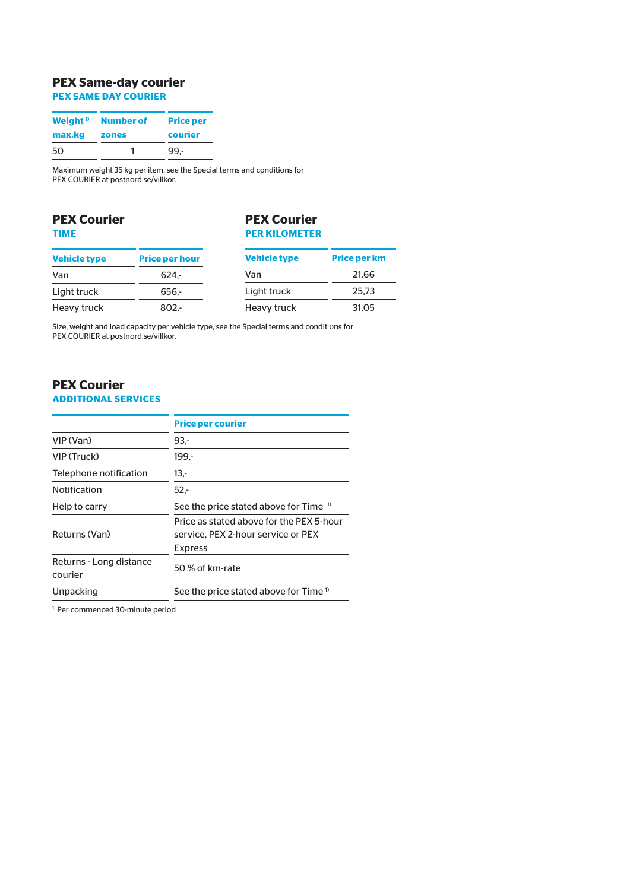# **PEX Same-day courier**

**PEX SAME DAY COURIER**

| Weight <sup>1</sup> | <b>Number of</b> | <b>Price per</b> |
|---------------------|------------------|------------------|
| max.kg              | zones            | courier          |
| 50                  |                  | 99 -             |

Maximum weight 35 kg per item, see the Special terms and conditions for PEX COURIER at postnord.se/villkor.

### **PEX Courier TIME**

### **PEX Courier PER KILOMETER**

| <b>Vehicle type</b> | <b>Price per hour</b> | <b>Vehicle type</b> | <b>Price per km</b> |
|---------------------|-----------------------|---------------------|---------------------|
| Van                 | $624 -$               | Van                 | 21.66               |
| Light truck         | 656.                  | Light truck         | 25.73               |
| Heavy truck         | $802 -$               | Heavy truck         | 31,05               |

Size, weight and load capacity per vehicle type, see the Special terms and conditions for PEX COURIER at postnord.se/villkor.

# **PEX Courier**

### **ADDITIONAL SERVICES**

|                                    | <b>Price per courier</b>                                                                         |
|------------------------------------|--------------------------------------------------------------------------------------------------|
| VIP (Van)                          | $93 -$                                                                                           |
| VIP (Truck)                        | 199.-                                                                                            |
| Telephone notification             | 13,-                                                                                             |
| <b>Notification</b>                | $52 -$                                                                                           |
| Help to carry                      | See the price stated above for Time <sup>1)</sup>                                                |
| Returns (Van)                      | Price as stated above for the PFX 5-hour<br>service. PEX 2-hour service or PEX<br><b>Express</b> |
| Returns - Long distance<br>courier | 50 % of km-rate                                                                                  |
| Unpacking                          | See the price stated above for Time <sup>1</sup>                                                 |

1) Per commenced 30-minute period